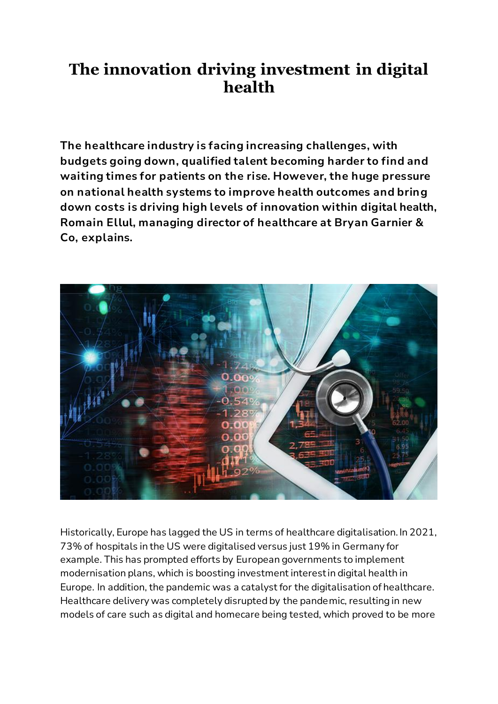## **The innovation driving investment in digital health**

**The healthcare industry is facing increasing challenges, with budgets going down, qualified talent becoming harder to find and waiting times for patients on the rise. However, the huge pressure on national health systems to improve health outcomes and bring down costs is driving high levels of innovation within digital health, Romain Ellul, managing director of healthcare at Bryan Garnier & Co, explains.**



Historically, Europe has lagged the US in terms of healthcare digitalisation. In 2021, 73% of hospitals in the US were digitalised versus just 19% in Germany for example. This has prompted efforts by European governments to implement modernisation plans, which is boosting investment interest in digital health in Europe. In addition, the pandemic was a catalyst for the digitalisation of healthcare. Healthcare delivery was completely disrupted by the pandemic, resulting in new models of care such as digital and homecare being tested, which proved to be more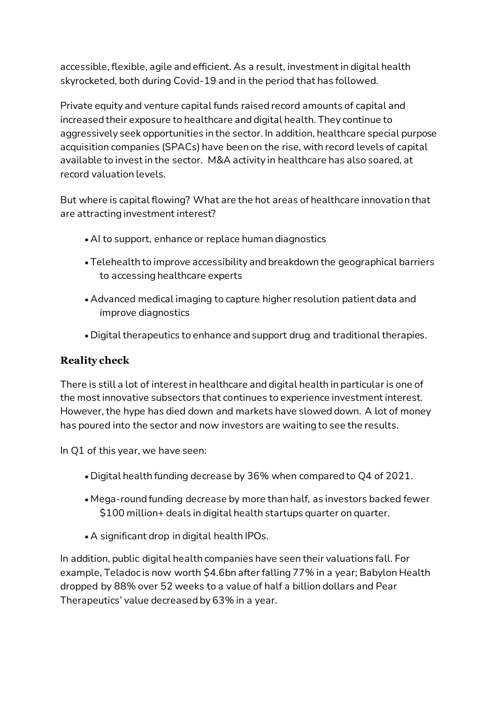accessible, flexible, agile and efficient. As a result, investment in digital health skyrocketed, both during Covid-19 and in the period that has followed.

Private equity and venture capital funds raised record amounts of capital and increased their exposure to healthcare and digital health. They continue to aggressively seek opportunities in the sector. In addition, healthcare special purpose acquisition companies (SPACs) have been on the rise, with record levels of capital available to invest in the sector. M&A activity in healthcare has also soared, at record valuation levels.

But where is capital flowing? What are the hot areas of healthcare innovation that are attracting investment interest?

- AI to support, enhance or replace human diagnostics
- Telehealth to improve accessibility and breakdown the geographical barriers to accessing healthcare experts
- Advanced medical imaging to capture higher resolution patient data and improve diagnostics
- Digital therapeutics to enhance and support drug and traditional therapies.

## **Reality check**

There is still a lot of interest in healthcare and digital health in particular is one of the most innovative subsectors that continues to experience investment interest. However, the hype has died down and markets have slowed down. A lot of money has poured into the sector and now investors are waiting to see the results.

In Q1 of this year, we have seen:

- Digital health funding decrease by 36% when compared to Q4 of 2021.
- Mega-round funding decrease by more than half, as investors backed fewer \$100 million+ deals in digital health startups quarter on quarter.
- A significant drop in digital health IPOs.

In addition, public digital health companies have seen their valuations fall. For example, Teladoc is now worth \$4.6bn after falling 77% in a year; Babylon Health dropped by 88% over 52 weeks to a value of half a billion dollars and Pear Therapeutics' value decreased by 63% in a year.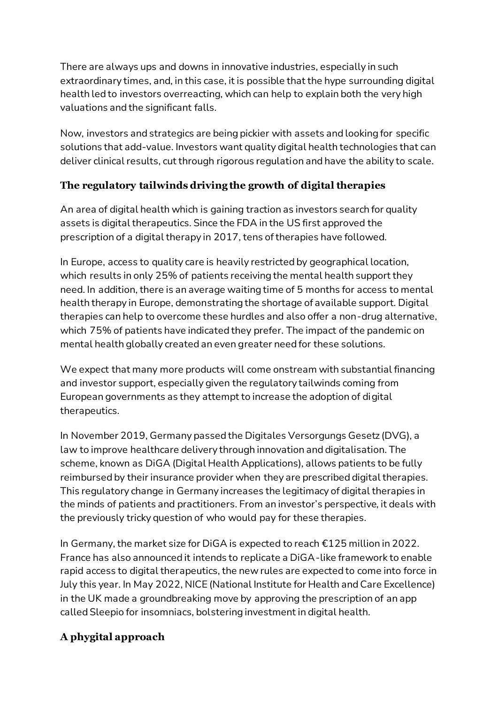There are always ups and downs in innovative industries, especially in such extraordinary times, and, in this case, it is possible that the hype surrounding digital health led to investors overreacting, which can help to explain both the very high valuations and the significant falls.

Now, investors and strategics are being pickier with assets and looking for specific solutions that add-value. Investors want quality digital health technologies that can deliver clinical results, cut through rigorous regulation and have the ability to scale.

## **The regulatory tailwinds driving the growth of digital therapies**

An area of digital health which is gaining traction as investors search for quality assets is digital therapeutics. Since the FDA in the US first approved the prescription of a digital therapy in 2017, tens of therapies have followed.

In Europe, access to quality care is heavily restricted by geographical location, which results in only 25% of patients receiving the mental health support they need. In addition, there is an average waiting time of 5 months for access to mental health therapy in Europe, demonstrating the shortage of available support. Digital therapies can help to overcome these hurdles and also offer a non-drug alternative, which 75% of patients have indicated they prefer. The impact of the pandemic on mental health globally created an even greater need for these solutions.

We expect that many more products will come onstream with substantial financing and investor support, especially given the regulatory tailwinds coming from European governments as they attempt to increase the adoption of digital therapeutics.

In November 2019, Germany passed the Digitales Versorgungs Gesetz (DVG), a law to improve healthcare delivery through innovation and digitalisation. The scheme, known as DiGA (Digital Health Applications), allows patients to be fully reimbursed by their insurance provider when they are prescribed digital therapies. This regulatory change in Germany increases the legitimacy of digital therapies in the minds of patients and practitioners. From an investor's perspective, it deals with the previously tricky question of who would pay for these therapies.

In Germany, the market size for DiGA is expected to reach €125 million in 2022. France has also announced it intends to replicate a DiGA-like framework to enable rapid access to digital therapeutics, the new rules are expected to come into force in July this year. In May 2022, NICE (National Institute for Health and Care Excellence) in the UK made a groundbreaking move by approving the prescription of an app called Sleepio for insomniacs, bolstering investment in digital health.

## **A phygital approach**